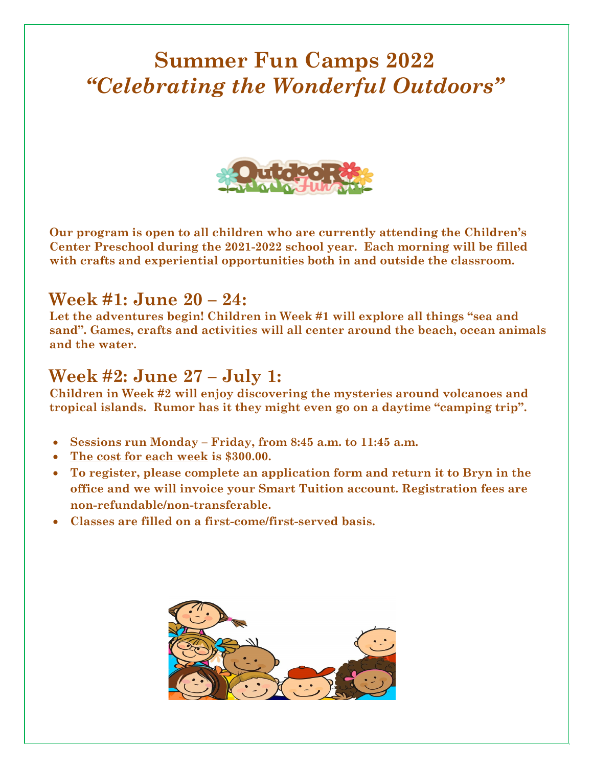### **Summer Fun Camps 2022** *"Celebrating the Wonderful Outdoors"*



**Our program is open to all children who are currently attending the Children's Center Preschool during the 2021-2022 school year. Each morning will be filled with crafts and experiential opportunities both in and outside the classroom.** 

#### **Week #1: June 20 – 24:**

Let the adventures begin! Children in Week #1 will explore all things "sea and **sand". Games, crafts and activities will all center around the beach, ocean animals and the water.** 

### **Week #2: June 27 – July 1:**

**Children in Week #2 will enjoy discovering the mysteries around volcanoes and tropical islands. Rumor has it they might even go on a daytime "camping trip".** 

- **Sessions run Monday – Friday, from 8:45 a.m. to 11:45 a.m.**
- **The cost for each week is \$300.00.**
- **To register, please complete an application form and return it to Bryn in the office and we will invoice your Smart Tuition account. Registration fees are non-refundable/non-transferable.**
- **Classes are filled on a first-come/first-served basis.**